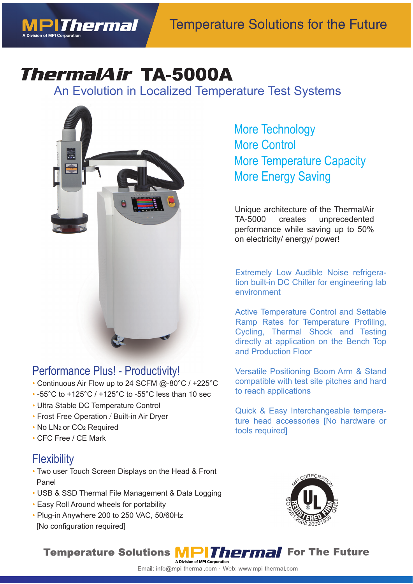

# *ThermalAir TA-5000A*

An Evolution in Localized Temperature Test Systems An Evolution in Localized Te



### Performance Plus! - Productivity!

- Continuous Air Flow up to 24 SCFM @-80°C / +225°C
- -55°C to +125°C / +125°C to -55°C less than 10 sec
- Ultra Stable DC Temperature Control
- Frost Free Operation / Built-in Air Dryer
- No LN2 or CO2 Required
- CFC Free / CE Mark

### **Flexibility**

- Two user Touch Screen Displays on the Head & Front Panel
- USB & SSD Thermal File Management & Data Logging
- Easy Roll Around wheels for portability
- Plug-in Anywhere 200 to 250 VAC, 50/60Hz [No configuration required]

More Technology More Control More Temperature Capacity More Energy Saving

Unique architecture of the ThermalAir TA-5000 creates unprecedented performance while saving up to 50% on electricity/ energy/ power!

Extremely Low Audible Noise refrigeration built-in DC Chiller for engineering lab environment

Active Temperature Control and Settable Ramp Rates for Temperature Profiling, Cycling, Thermal Shock and Testing directly at application on the Bench Top and Production Floor

Versatile Positioning Boom Arm & Stand compatible with test site pitches and hard to reach applications

Quick & Easy Interchangeable temperature head accessories [No hardware or tools required]



**For The Future** 

#### **Temperature Solutions MPIThermal**

#### Email: info@mpi-thermal.com · Web: www.mpi-thermal.com

A Division of MPI Corporation